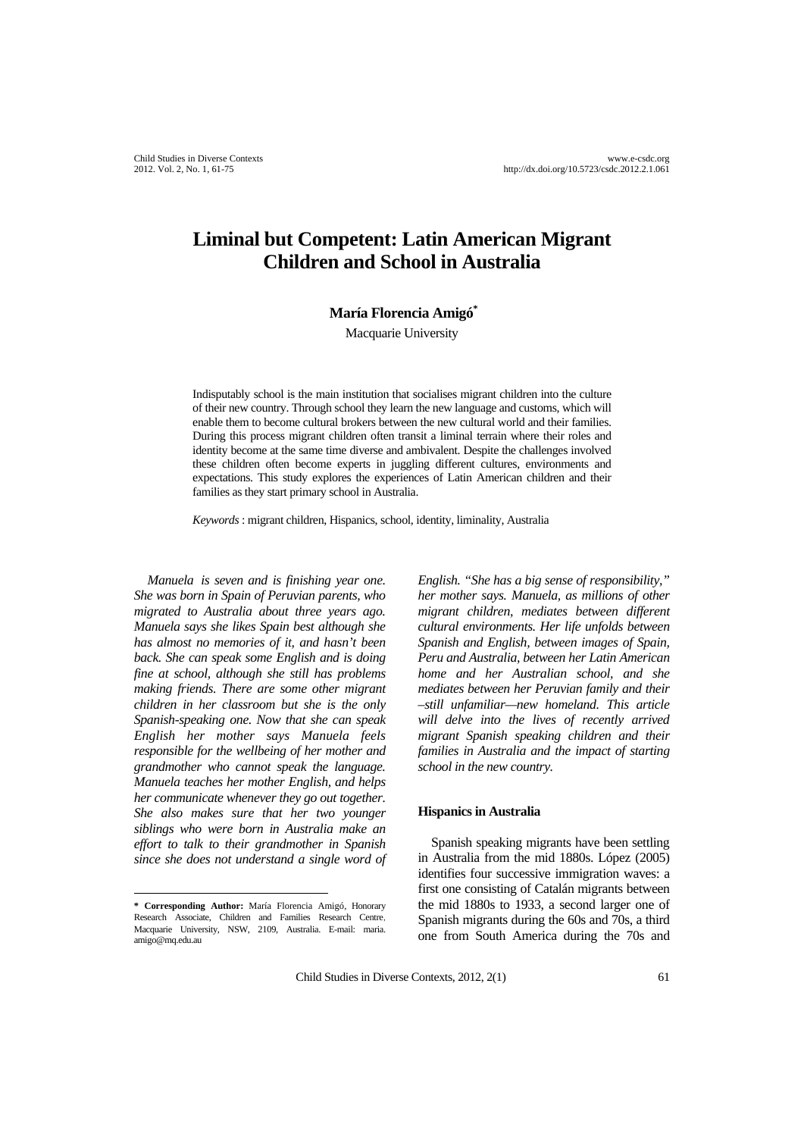# **Liminal but Competent: Latin American Migrant Children and School in Australia**

## **María Florencia Amigó\***

Macquarie University

Indisputably school is the main institution that socialises migrant children into the culture of their new country. Through school they learn the new language and customs, which will enable them to become cultural brokers between the new cultural world and their families. During this process migrant children often transit a liminal terrain where their roles and identity become at the same time diverse and ambivalent. Despite the challenges involved these children often become experts in juggling different cultures, environments and expectations. This study explores the experiences of Latin American children and their families as they start primary school in Australia.

*Keywords* : migrant children, Hispanics, school, identity, liminality, Australia

*Manuela is seven and is finishing year one. She was born in Spain of Peruvian parents, who migrated to Australia about three years ago. Manuela says she likes Spain best although she has almost no memories of it, and hasn't been back. She can speak some English and is doing fine at school, although she still has problems making friends. There are some other migrant children in her classroom but she is the only Spanish-speaking one. Now that she can speak English her mother says Manuela feels responsible for the wellbeing of her mother and grandmother who cannot speak the language. Manuela teaches her mother English, and helps her communicate whenever they go out together. She also makes sure that her two younger siblings who were born in Australia make an effort to talk to their grandmother in Spanish since she does not understand a single word of* 

 $\overline{a}$ 

*English. "She has a big sense of responsibility," her mother says. Manuela, as millions of other migrant children, mediates between different cultural environments. Her life unfolds between Spanish and English, between images of Spain, Peru and Australia, between her Latin American home and her Australian school, and she mediates between her Peruvian family and their –still unfamiliar—new homeland. This article will delve into the lives of recently arrived migrant Spanish speaking children and their families in Australia and the impact of starting school in the new country.* 

#### **Hispanics in Australia**

Spanish speaking migrants have been settling in Australia from the mid 1880s. López (2005) identifies four successive immigration waves: a first one consisting of Catalán migrants between the mid 1880s to 1933, a second larger one of Spanish migrants during the 60s and 70s, a third one from South America during the 70s and

Child Studies in Diverse Contexts, 2012, 2(1) 61

**<sup>\*</sup> Corresponding Author:** María Florencia Amigó, Honorary Research Associate, Children and Families Research Centre, Macquarie University, NSW, 2109, Australia. E-mail: maria. amigo@mq.edu.au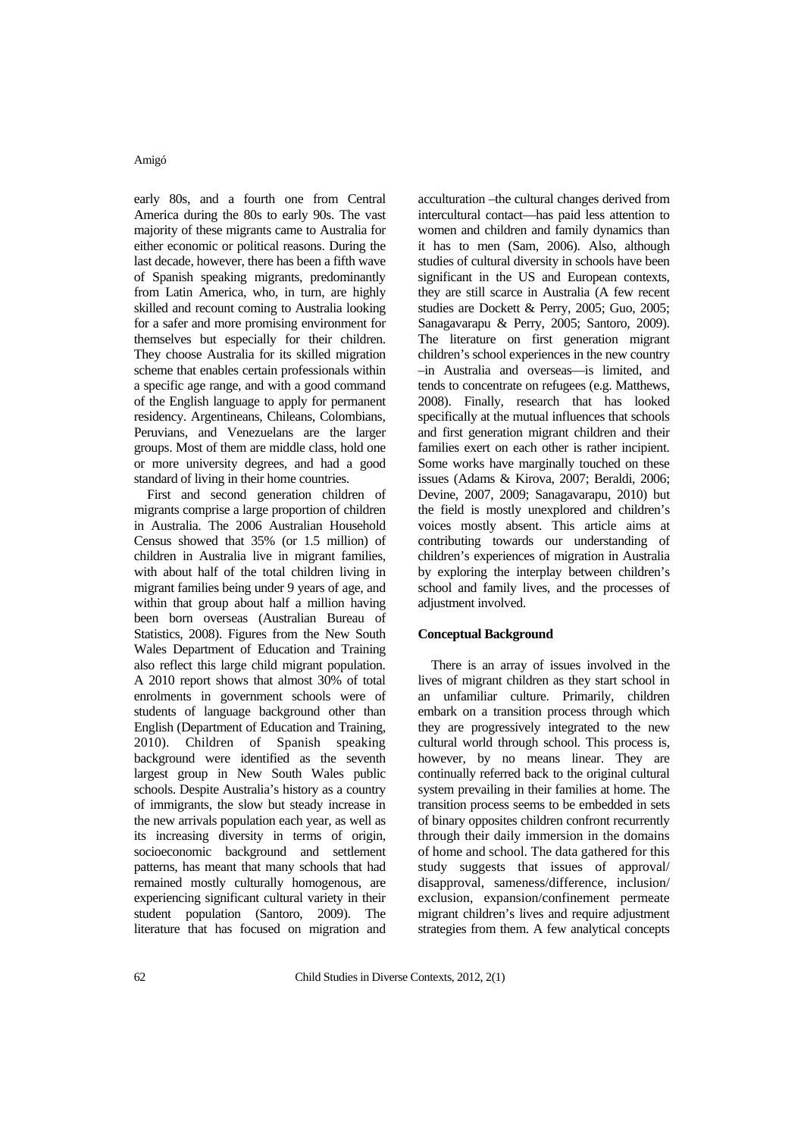early 80s, and a fourth one from Central America during the 80s to early 90s. The vast majority of these migrants came to Australia for either economic or political reasons. During the last decade, however, there has been a fifth wave of Spanish speaking migrants, predominantly from Latin America, who, in turn, are highly skilled and recount coming to Australia looking for a safer and more promising environment for themselves but especially for their children. They choose Australia for its skilled migration scheme that enables certain professionals within a specific age range, and with a good command of the English language to apply for permanent residency. Argentineans, Chileans, Colombians, Peruvians, and Venezuelans are the larger groups. Most of them are middle class, hold one or more university degrees, and had a good standard of living in their home countries.

First and second generation children of migrants comprise a large proportion of children in Australia. The 2006 Australian Household Census showed that 35% (or 1.5 million) of children in Australia live in migrant families, with about half of the total children living in migrant families being under 9 years of age, and within that group about half a million having been born overseas (Australian Bureau of Statistics, 2008). Figures from the New South Wales Department of Education and Training also reflect this large child migrant population. A 2010 report shows that almost 30% of total enrolments in government schools were of students of language background other than English (Department of Education and Training, 2010). Children of Spanish speaking background were identified as the seventh largest group in New South Wales public schools. Despite Australia's history as a country of immigrants, the slow but steady increase in the new arrivals population each year, as well as its increasing diversity in terms of origin, socioeconomic background and settlement patterns, has meant that many schools that had remained mostly culturally homogenous, are experiencing significant cultural variety in their student population (Santoro, 2009). The literature that has focused on migration and

acculturation –the cultural changes derived from intercultural contact—has paid less attention to women and children and family dynamics than it has to men (Sam, 2006). Also, although studies of cultural diversity in schools have been significant in the US and European contexts, they are still scarce in Australia (A few recent studies are Dockett & Perry, 2005; Guo, 2005; Sanagavarapu & Perry, 2005; Santoro, 2009). The literature on first generation migrant children's school experiences in the new country –in Australia and overseas—is limited, and tends to concentrate on refugees (e.g. Matthews, 2008). Finally, research that has looked specifically at the mutual influences that schools and first generation migrant children and their families exert on each other is rather incipient. Some works have marginally touched on these issues (Adams & Kirova, 2007; Beraldi, 2006; Devine, 2007, 2009; Sanagavarapu, 2010) but the field is mostly unexplored and children's voices mostly absent. This article aims at contributing towards our understanding of children's experiences of migration in Australia by exploring the interplay between children's school and family lives, and the processes of adjustment involved.

# **Conceptual Background**

There is an array of issues involved in the lives of migrant children as they start school in an unfamiliar culture. Primarily, children embark on a transition process through which they are progressively integrated to the new cultural world through school. This process is, however, by no means linear. They are continually referred back to the original cultural system prevailing in their families at home. The transition process seems to be embedded in sets of binary opposites children confront recurrently through their daily immersion in the domains of home and school. The data gathered for this study suggests that issues of approval/ disapproval, sameness/difference, inclusion/ exclusion, expansion/confinement permeate migrant children's lives and require adjustment strategies from them. A few analytical concepts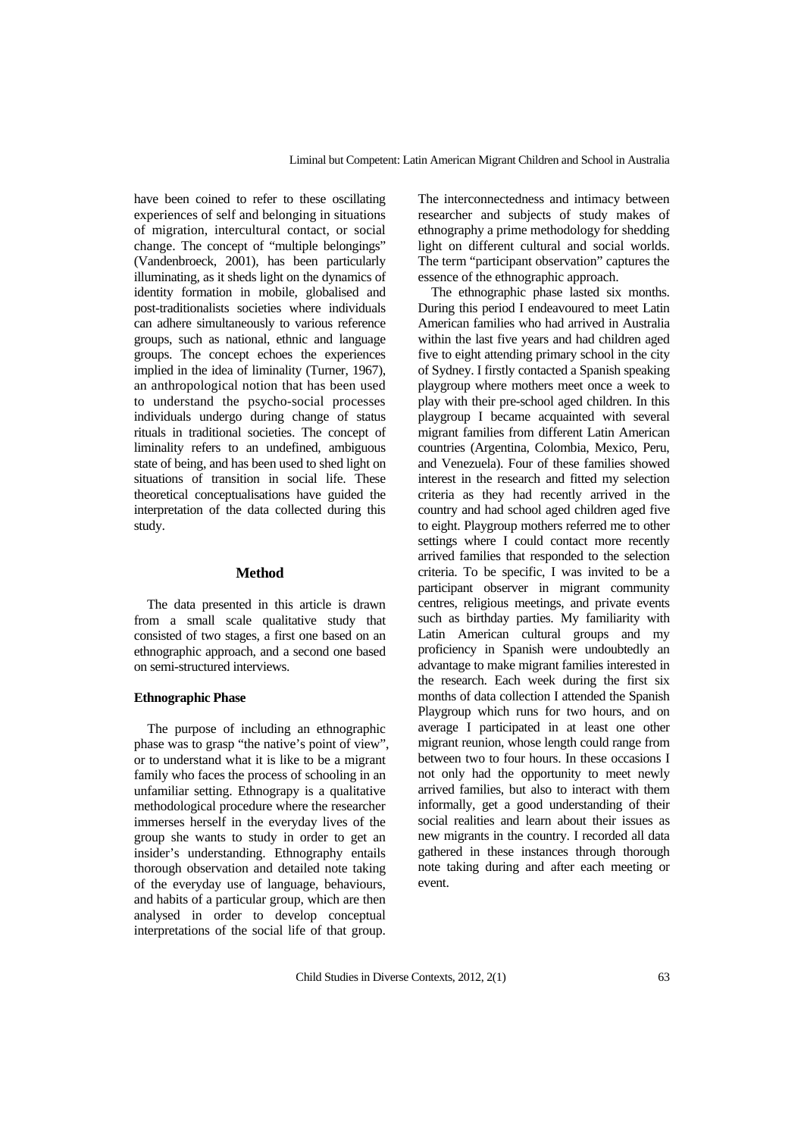have been coined to refer to these oscillating experiences of self and belonging in situations of migration, intercultural contact, or social change. The concept of "multiple belongings" (Vandenbroeck, 2001), has been particularly illuminating, as it sheds light on the dynamics of identity formation in mobile, globalised and post-traditionalists societies where individuals can adhere simultaneously to various reference groups, such as national, ethnic and language groups. The concept echoes the experiences implied in the idea of liminality (Turner, 1967), an anthropological notion that has been used to understand the psycho-social processes individuals undergo during change of status rituals in traditional societies. The concept of liminality refers to an undefined, ambiguous state of being, and has been used to shed light on situations of transition in social life. These theoretical conceptualisations have guided the interpretation of the data collected during this study.

# **Method**

The data presented in this article is drawn from a small scale qualitative study that consisted of two stages, a first one based on an ethnographic approach, and a second one based on semi-structured interviews.

#### **Ethnographic Phase**

The purpose of including an ethnographic phase was to grasp "the native's point of view", or to understand what it is like to be a migrant family who faces the process of schooling in an unfamiliar setting. Ethnograpy is a qualitative methodological procedure where the researcher immerses herself in the everyday lives of the group she wants to study in order to get an insider's understanding. Ethnography entails thorough observation and detailed note taking of the everyday use of language, behaviours, and habits of a particular group, which are then analysed in order to develop conceptual interpretations of the social life of that group.

The interconnectedness and intimacy between researcher and subjects of study makes of ethnography a prime methodology for shedding light on different cultural and social worlds. The term "participant observation" captures the essence of the ethnographic approach.

The ethnographic phase lasted six months. During this period I endeavoured to meet Latin American families who had arrived in Australia within the last five years and had children aged five to eight attending primary school in the city of Sydney. I firstly contacted a Spanish speaking playgroup where mothers meet once a week to play with their pre-school aged children. In this playgroup I became acquainted with several migrant families from different Latin American countries (Argentina, Colombia, Mexico, Peru, and Venezuela). Four of these families showed interest in the research and fitted my selection criteria as they had recently arrived in the country and had school aged children aged five to eight. Playgroup mothers referred me to other settings where I could contact more recently arrived families that responded to the selection criteria. To be specific, I was invited to be a participant observer in migrant community centres, religious meetings, and private events such as birthday parties. My familiarity with Latin American cultural groups and my proficiency in Spanish were undoubtedly an advantage to make migrant families interested in the research. Each week during the first six months of data collection I attended the Spanish Playgroup which runs for two hours, and on average I participated in at least one other migrant reunion, whose length could range from between two to four hours. In these occasions I not only had the opportunity to meet newly arrived families, but also to interact with them informally, get a good understanding of their social realities and learn about their issues as new migrants in the country. I recorded all data gathered in these instances through thorough note taking during and after each meeting or event.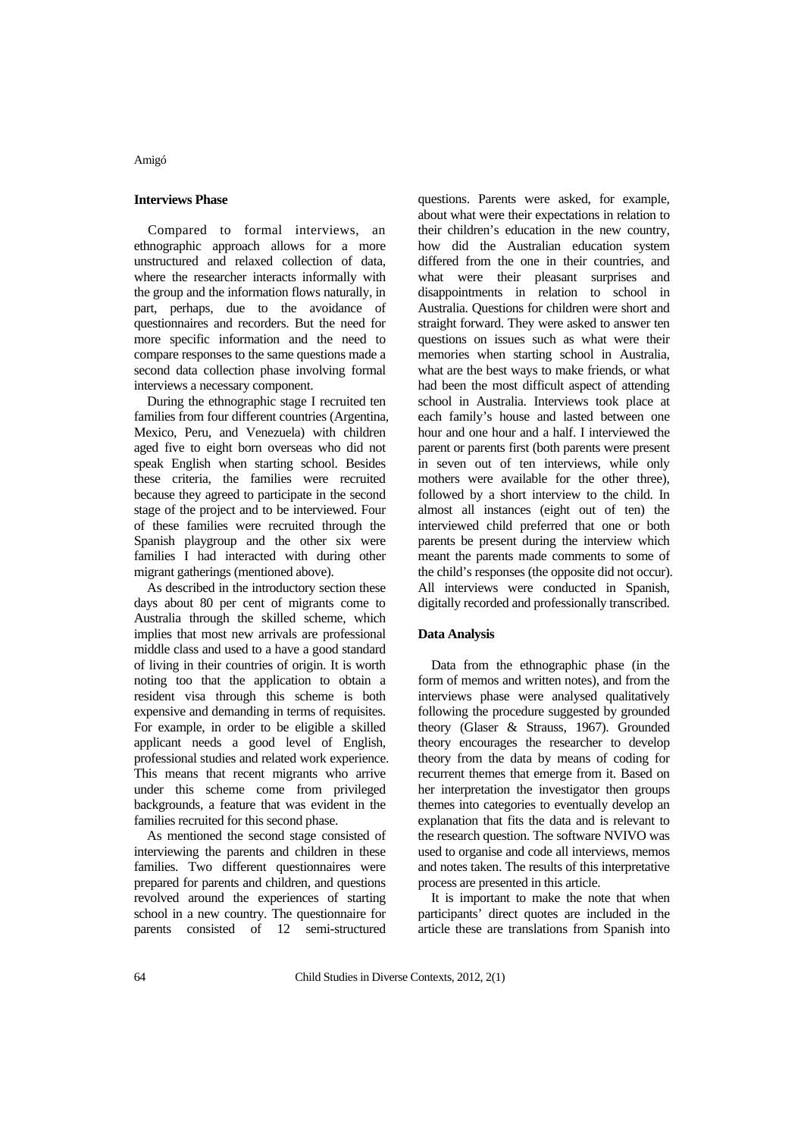## **Interviews Phase**

Compared to formal interviews, an ethnographic approach allows for a more unstructured and relaxed collection of data, where the researcher interacts informally with the group and the information flows naturally, in part, perhaps, due to the avoidance of questionnaires and recorders. But the need for more specific information and the need to compare responses to the same questions made a second data collection phase involving formal interviews a necessary component.

During the ethnographic stage I recruited ten families from four different countries (Argentina, Mexico, Peru, and Venezuela) with children aged five to eight born overseas who did not speak English when starting school. Besides these criteria, the families were recruited because they agreed to participate in the second stage of the project and to be interviewed. Four of these families were recruited through the Spanish playgroup and the other six were families I had interacted with during other migrant gatherings (mentioned above).

As described in the introductory section these days about 80 per cent of migrants come to Australia through the skilled scheme, which implies that most new arrivals are professional middle class and used to a have a good standard of living in their countries of origin. It is worth noting too that the application to obtain a resident visa through this scheme is both expensive and demanding in terms of requisites. For example, in order to be eligible a skilled applicant needs a good level of English, professional studies and related work experience. This means that recent migrants who arrive under this scheme come from privileged backgrounds, a feature that was evident in the families recruited for this second phase.

As mentioned the second stage consisted of interviewing the parents and children in these families. Two different questionnaires were prepared for parents and children, and questions revolved around the experiences of starting school in a new country. The questionnaire for parents consisted of 12 semi-structured questions. Parents were asked, for example, about what were their expectations in relation to their children's education in the new country, how did the Australian education system differed from the one in their countries, and what were their pleasant surprises and disappointments in relation to school in Australia. Questions for children were short and straight forward. They were asked to answer ten questions on issues such as what were their memories when starting school in Australia, what are the best ways to make friends, or what had been the most difficult aspect of attending school in Australia. Interviews took place at each family's house and lasted between one hour and one hour and a half. I interviewed the parent or parents first (both parents were present in seven out of ten interviews, while only mothers were available for the other three), followed by a short interview to the child. In almost all instances (eight out of ten) the interviewed child preferred that one or both parents be present during the interview which meant the parents made comments to some of the child's responses (the opposite did not occur). All interviews were conducted in Spanish, digitally recorded and professionally transcribed.

## **Data Analysis**

Data from the ethnographic phase (in the form of memos and written notes), and from the interviews phase were analysed qualitatively following the procedure suggested by grounded theory (Glaser & Strauss, 1967). Grounded theory encourages the researcher to develop theory from the data by means of coding for recurrent themes that emerge from it. Based on her interpretation the investigator then groups themes into categories to eventually develop an explanation that fits the data and is relevant to the research question. The software NVIVO was used to organise and code all interviews, memos and notes taken. The results of this interpretative process are presented in this article.

It is important to make the note that when participants' direct quotes are included in the article these are translations from Spanish into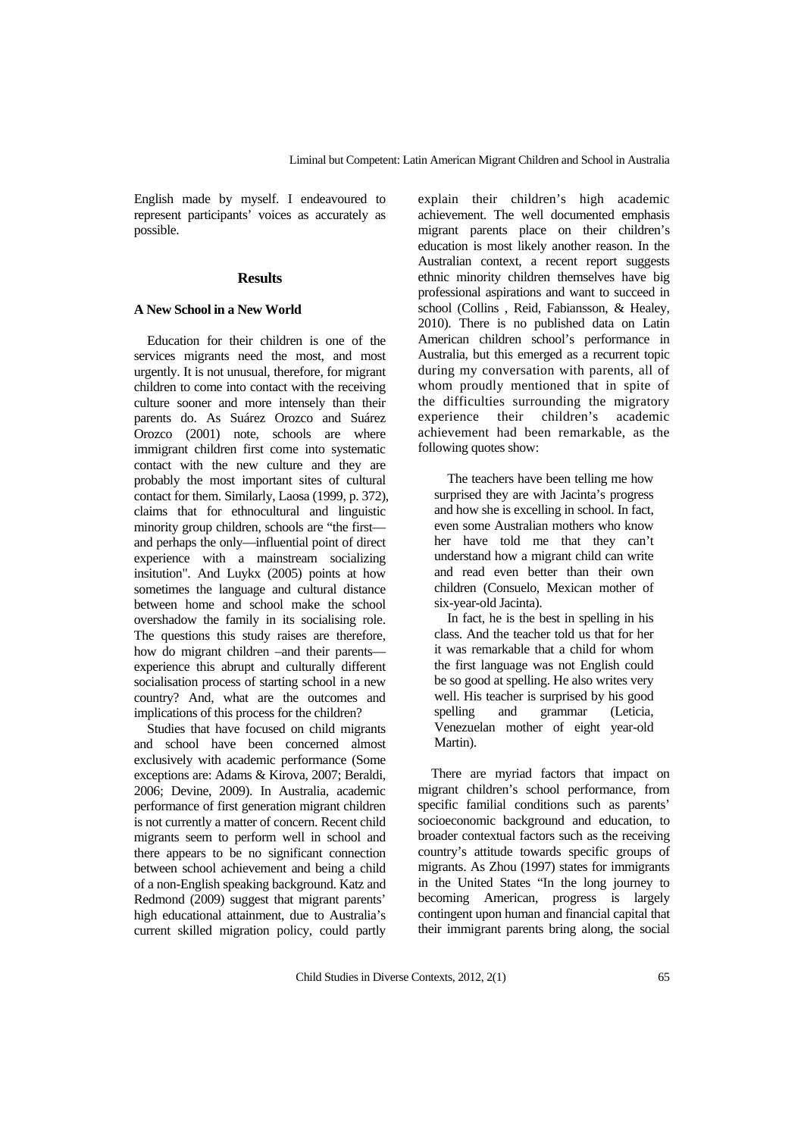English made by myself. I endeavoured to represent participants' voices as accurately as possible.

## **Results**

# **A New School in a New World**

Education for their children is one of the services migrants need the most, and most urgently. It is not unusual, therefore, for migrant children to come into contact with the receiving culture sooner and more intensely than their parents do. As Suárez Orozco and Suárez Orozco (2001) note, schools are where immigrant children first come into systematic contact with the new culture and they are probably the most important sites of cultural contact for them. Similarly, Laosa (1999, p. 372), claims that for ethnocultural and linguistic minority group children, schools are "the first and perhaps the only—influential point of direct experience with a mainstream socializing insitution". And Luykx (2005) points at how sometimes the language and cultural distance between home and school make the school overshadow the family in its socialising role. The questions this study raises are therefore, how do migrant children –and their parents experience this abrupt and culturally different socialisation process of starting school in a new country? And, what are the outcomes and implications of this process for the children?

Studies that have focused on child migrants and school have been concerned almost exclusively with academic performance (Some exceptions are: Adams & Kirova, 2007; Beraldi, 2006; Devine, 2009). In Australia, academic performance of first generation migrant children is not currently a matter of concern. Recent child migrants seem to perform well in school and there appears to be no significant connection between school achievement and being a child of a non-English speaking background. Katz and Redmond (2009) suggest that migrant parents' high educational attainment, due to Australia's current skilled migration policy, could partly

explain their children's high academic achievement. The well documented emphasis migrant parents place on their children's education is most likely another reason. In the Australian context, a recent report suggests ethnic minority children themselves have big professional aspirations and want to succeed in school (Collins , Reid, Fabiansson, & Healey, 2010). There is no published data on Latin American children school's performance in Australia, but this emerged as a recurrent topic during my conversation with parents, all of whom proudly mentioned that in spite of the difficulties surrounding the migratory experience their children's academic achievement had been remarkable, as the following quotes show:

The teachers have been telling me how surprised they are with Jacinta's progress and how she is excelling in school. In fact, even some Australian mothers who know her have told me that they can't understand how a migrant child can write and read even better than their own children (Consuelo, Mexican mother of six-year-old Jacinta).

In fact, he is the best in spelling in his class. And the teacher told us that for her it was remarkable that a child for whom the first language was not English could be so good at spelling. He also writes very well. His teacher is surprised by his good spelling and grammar (Leticia, Venezuelan mother of eight year-old Martin).

There are myriad factors that impact on migrant children's school performance, from specific familial conditions such as parents' socioeconomic background and education, to broader contextual factors such as the receiving country's attitude towards specific groups of migrants. As Zhou (1997) states for immigrants in the United States "In the long journey to becoming American, progress is largely contingent upon human and financial capital that their immigrant parents bring along, the social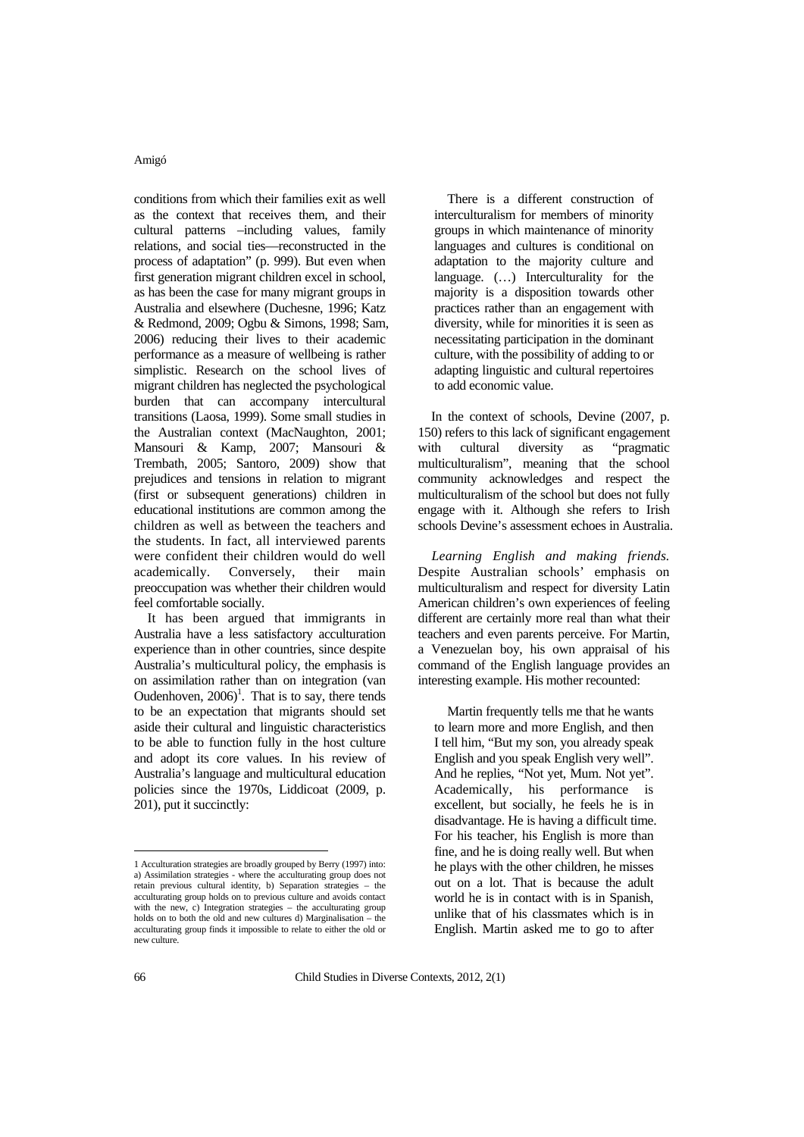conditions from which their families exit as well as the context that receives them, and their cultural patterns –including values, family relations, and social ties—reconstructed in the process of adaptation" (p. 999). But even when first generation migrant children excel in school, as has been the case for many migrant groups in Australia and elsewhere (Duchesne, 1996; Katz & Redmond, 2009; Ogbu & Simons, 1998; Sam, 2006) reducing their lives to their academic performance as a measure of wellbeing is rather simplistic. Research on the school lives of migrant children has neglected the psychological burden that can accompany intercultural transitions (Laosa, 1999). Some small studies in the Australian context (MacNaughton, 2001; Mansouri & Kamp, 2007; Mansouri & Trembath, 2005; Santoro, 2009) show that prejudices and tensions in relation to migrant (first or subsequent generations) children in educational institutions are common among the children as well as between the teachers and the students. In fact, all interviewed parents were confident their children would do well academically. Conversely, their main preoccupation was whether their children would feel comfortable socially.

It has been argued that immigrants in Australia have a less satisfactory acculturation experience than in other countries, since despite Australia's multicultural policy, the emphasis is on assimilation rather than on integration (van Oudenhoven,  $2006$ <sup>1</sup>. That is to say, there tends to be an expectation that migrants should set aside their cultural and linguistic characteristics to be able to function fully in the host culture and adopt its core values. In his review of Australia's language and multicultural education policies since the 1970s, Liddicoat (2009, p. 201), put it succinctly:

There is a different construction of interculturalism for members of minority groups in which maintenance of minority languages and cultures is conditional on adaptation to the majority culture and language. (…) Interculturality for the majority is a disposition towards other practices rather than an engagement with diversity, while for minorities it is seen as necessitating participation in the dominant culture, with the possibility of adding to or adapting linguistic and cultural repertoires to add economic value.

In the context of schools, Devine (2007, p. 150) refers to this lack of significant engagement with cultural diversity as "pragmatic multiculturalism", meaning that the school community acknowledges and respect the multiculturalism of the school but does not fully engage with it. Although she refers to Irish schools Devine's assessment echoes in Australia.

*Learning English and making friends.* Despite Australian schools' emphasis on multiculturalism and respect for diversity Latin American children's own experiences of feeling different are certainly more real than what their teachers and even parents perceive. For Martin, a Venezuelan boy, his own appraisal of his command of the English language provides an interesting example. His mother recounted:

Martin frequently tells me that he wants to learn more and more English, and then I tell him, "But my son, you already speak English and you speak English very well". And he replies, "Not yet, Mum. Not yet". Academically, his performance is excellent, but socially, he feels he is in disadvantage. He is having a difficult time. For his teacher, his English is more than fine, and he is doing really well. But when he plays with the other children, he misses out on a lot. That is because the adult world he is in contact with is in Spanish. unlike that of his classmates which is in English. Martin asked me to go to after

 $\overline{a}$ 1 Acculturation strategies are broadly grouped by Berry (1997) into: a) Assimilation strategies - where the acculturating group does not retain previous cultural identity, b) Separation strategies – the acculturating group holds on to previous culture and avoids contact with the new, c) Integration strategies – the acculturating group holds on to both the old and new cultures d) Marginalisation – the acculturating group finds it impossible to relate to either the old or new culture.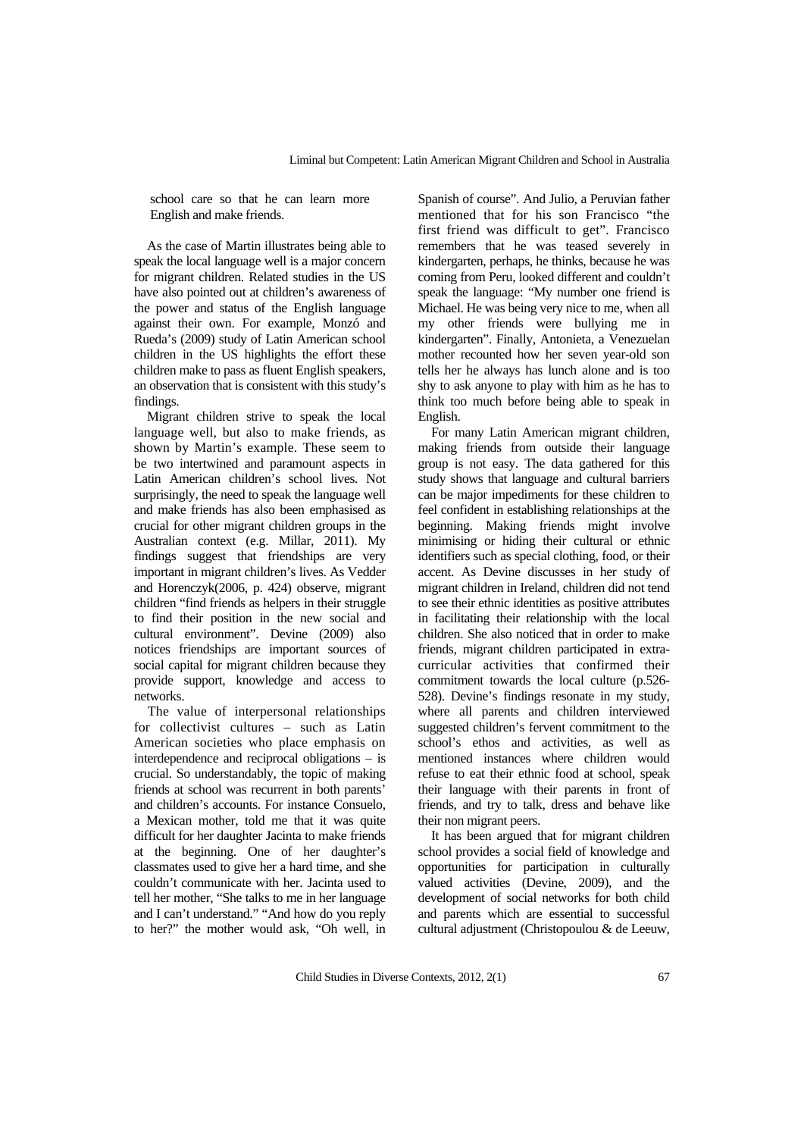school care so that he can learn more English and make friends.

As the case of Martin illustrates being able to speak the local language well is a major concern for migrant children. Related studies in the US have also pointed out at children's awareness of the power and status of the English language against their own. For example, Monzó and Rueda's (2009) study of Latin American school children in the US highlights the effort these children make to pass as fluent English speakers, an observation that is consistent with this study's findings.

Migrant children strive to speak the local language well, but also to make friends, as shown by Martin's example. These seem to be two intertwined and paramount aspects in Latin American children's school lives. Not surprisingly, the need to speak the language well and make friends has also been emphasised as crucial for other migrant children groups in the Australian context (e.g. Millar, 2011). My findings suggest that friendships are very important in migrant children's lives. As Vedder and Horenczyk(2006, p. 424) observe, migrant children "find friends as helpers in their struggle to find their position in the new social and cultural environment". Devine (2009) also notices friendships are important sources of social capital for migrant children because they provide support, knowledge and access to networks.

The value of interpersonal relationships for collectivist cultures – such as Latin American societies who place emphasis on interdependence and reciprocal obligations – is crucial. So understandably, the topic of making friends at school was recurrent in both parents' and children's accounts. For instance Consuelo, a Mexican mother, told me that it was quite difficult for her daughter Jacinta to make friends at the beginning. One of her daughter's classmates used to give her a hard time, and she couldn't communicate with her. Jacinta used to tell her mother, "She talks to me in her language and I can't understand." "And how do you reply to her?" the mother would ask, "Oh well, in

Spanish of course". And Julio, a Peruvian father mentioned that for his son Francisco "the first friend was difficult to get". Francisco remembers that he was teased severely in kindergarten, perhaps, he thinks, because he was coming from Peru, looked different and couldn't speak the language: "My number one friend is Michael. He was being very nice to me, when all my other friends were bullying me in kindergarten". Finally, Antonieta, a Venezuelan mother recounted how her seven year-old son tells her he always has lunch alone and is too shy to ask anyone to play with him as he has to think too much before being able to speak in English.

For many Latin American migrant children, making friends from outside their language group is not easy. The data gathered for this study shows that language and cultural barriers can be major impediments for these children to feel confident in establishing relationships at the beginning. Making friends might involve minimising or hiding their cultural or ethnic identifiers such as special clothing, food, or their accent. As Devine discusses in her study of migrant children in Ireland, children did not tend to see their ethnic identities as positive attributes in facilitating their relationship with the local children. She also noticed that in order to make friends, migrant children participated in extracurricular activities that confirmed their commitment towards the local culture (p.526- 528). Devine's findings resonate in my study, where all parents and children interviewed suggested children's fervent commitment to the school's ethos and activities, as well as mentioned instances where children would refuse to eat their ethnic food at school, speak their language with their parents in front of friends, and try to talk, dress and behave like their non migrant peers.

It has been argued that for migrant children school provides a social field of knowledge and opportunities for participation in culturally valued activities (Devine, 2009), and the development of social networks for both child and parents which are essential to successful cultural adjustment (Christopoulou & de Leeuw,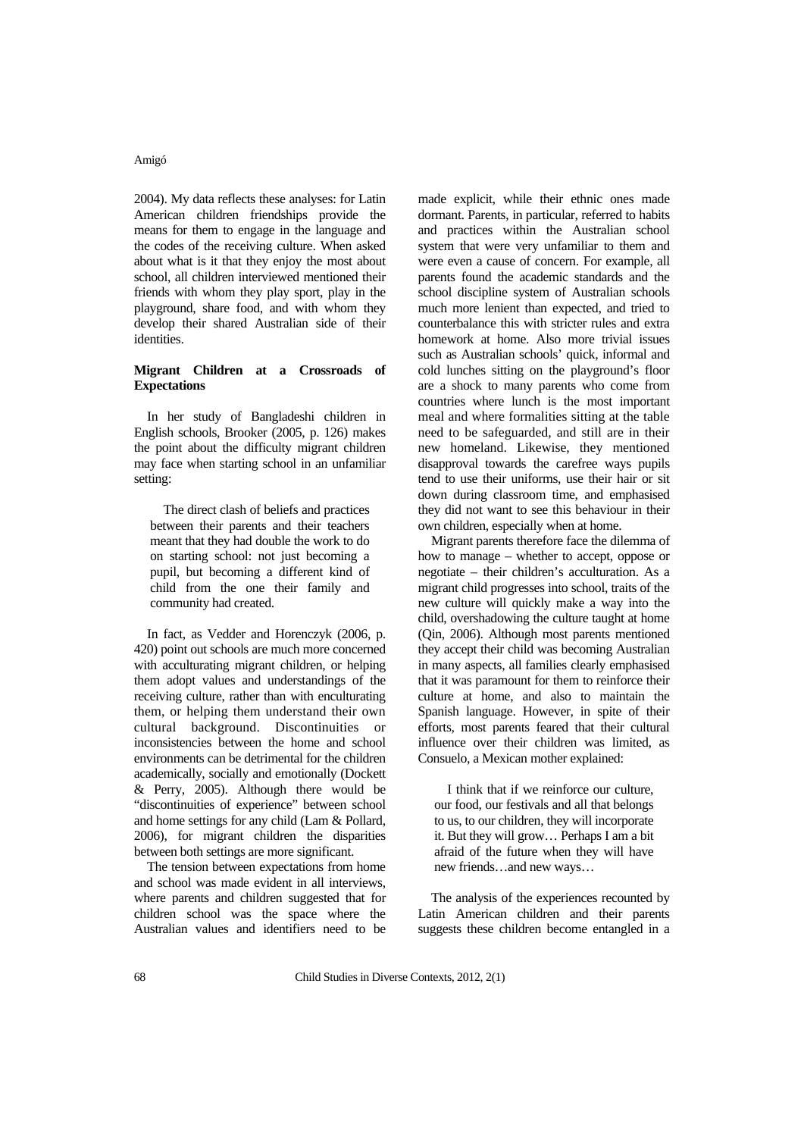2004). My data reflects these analyses: for Latin American children friendships provide the means for them to engage in the language and the codes of the receiving culture. When asked about what is it that they enjoy the most about school, all children interviewed mentioned their friends with whom they play sport, play in the playground, share food, and with whom they develop their shared Australian side of their identities.

## **Migrant Children at a Crossroads of Expectations**

In her study of Bangladeshi children in English schools, Brooker (2005, p. 126) makes the point about the difficulty migrant children may face when starting school in an unfamiliar setting:

The direct clash of beliefs and practices between their parents and their teachers meant that they had double the work to do on starting school: not just becoming a pupil, but becoming a different kind of child from the one their family and community had created.

In fact, as Vedder and Horenczyk (2006, p. 420) point out schools are much more concerned with acculturating migrant children, or helping them adopt values and understandings of the receiving culture, rather than with enculturating them, or helping them understand their own cultural background. Discontinuities or inconsistencies between the home and school environments can be detrimental for the children academically, socially and emotionally (Dockett & Perry, 2005). Although there would be "discontinuities of experience" between school and home settings for any child (Lam & Pollard, 2006), for migrant children the disparities between both settings are more significant.

The tension between expectations from home and school was made evident in all interviews, where parents and children suggested that for children school was the space where the Australian values and identifiers need to be

made explicit, while their ethnic ones made dormant. Parents, in particular, referred to habits and practices within the Australian school system that were very unfamiliar to them and were even a cause of concern. For example, all parents found the academic standards and the school discipline system of Australian schools much more lenient than expected, and tried to counterbalance this with stricter rules and extra homework at home. Also more trivial issues such as Australian schools' quick, informal and cold lunches sitting on the playground's floor are a shock to many parents who come from countries where lunch is the most important meal and where formalities sitting at the table need to be safeguarded, and still are in their new homeland. Likewise, they mentioned disapproval towards the carefree ways pupils tend to use their uniforms, use their hair or sit down during classroom time, and emphasised they did not want to see this behaviour in their own children, especially when at home.

Migrant parents therefore face the dilemma of how to manage – whether to accept, oppose or negotiate – their children's acculturation. As a migrant child progresses into school, traits of the new culture will quickly make a way into the child, overshadowing the culture taught at home (Qin, 2006). Although most parents mentioned they accept their child was becoming Australian in many aspects, all families clearly emphasised that it was paramount for them to reinforce their culture at home, and also to maintain the Spanish language. However, in spite of their efforts, most parents feared that their cultural influence over their children was limited, as Consuelo, a Mexican mother explained:

I think that if we reinforce our culture, our food, our festivals and all that belongs to us, to our children, they will incorporate it. But they will grow… Perhaps I am a bit afraid of the future when they will have new friends…and new ways…

The analysis of the experiences recounted by Latin American children and their parents suggests these children become entangled in a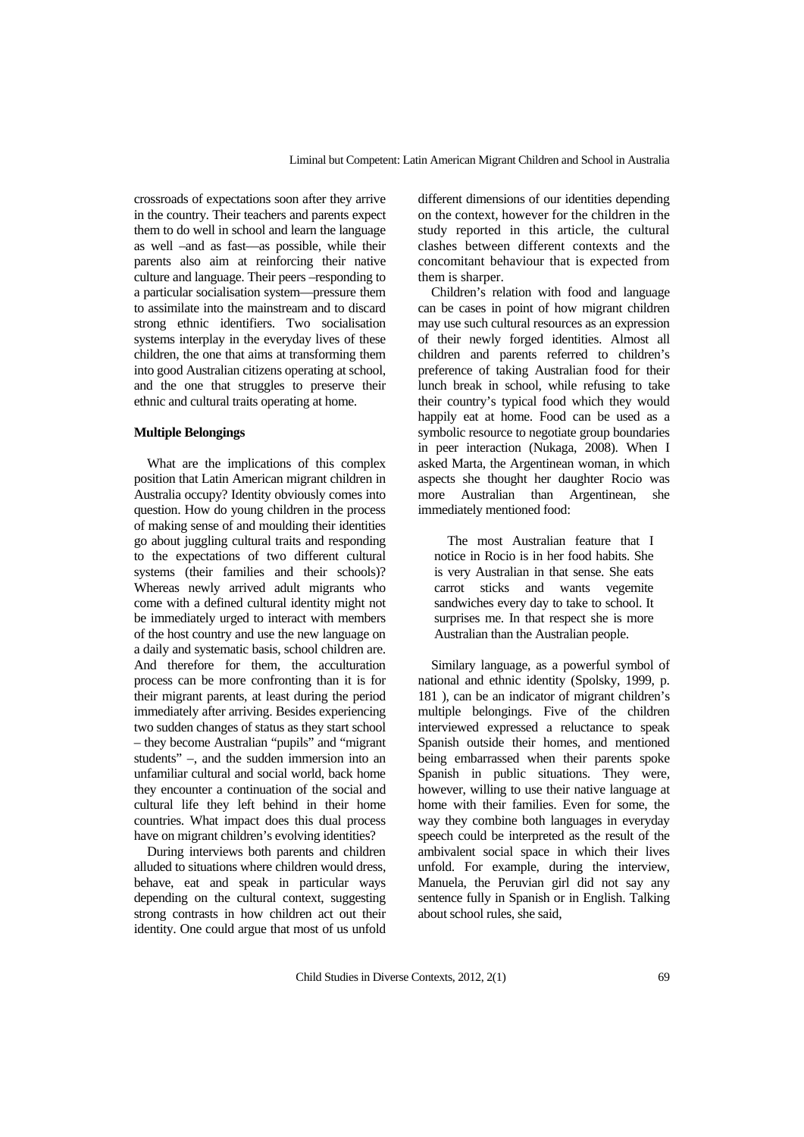crossroads of expectations soon after they arrive in the country. Their teachers and parents expect them to do well in school and learn the language as well –and as fast—as possible, while their parents also aim at reinforcing their native culture and language. Their peers –responding to a particular socialisation system—pressure them to assimilate into the mainstream and to discard strong ethnic identifiers. Two socialisation systems interplay in the everyday lives of these children, the one that aims at transforming them into good Australian citizens operating at school, and the one that struggles to preserve their ethnic and cultural traits operating at home.

#### **Multiple Belongings**

What are the implications of this complex position that Latin American migrant children in Australia occupy? Identity obviously comes into question. How do young children in the process of making sense of and moulding their identities go about juggling cultural traits and responding to the expectations of two different cultural systems (their families and their schools)? Whereas newly arrived adult migrants who come with a defined cultural identity might not be immediately urged to interact with members of the host country and use the new language on a daily and systematic basis, school children are. And therefore for them, the acculturation process can be more confronting than it is for their migrant parents, at least during the period immediately after arriving. Besides experiencing two sudden changes of status as they start school – they become Australian "pupils" and "migrant students" –, and the sudden immersion into an unfamiliar cultural and social world, back home they encounter a continuation of the social and cultural life they left behind in their home countries. What impact does this dual process have on migrant children's evolving identities?

During interviews both parents and children alluded to situations where children would dress, behave, eat and speak in particular ways depending on the cultural context, suggesting strong contrasts in how children act out their identity. One could argue that most of us unfold

different dimensions of our identities depending on the context, however for the children in the study reported in this article, the cultural clashes between different contexts and the concomitant behaviour that is expected from them is sharper.

Children's relation with food and language can be cases in point of how migrant children may use such cultural resources as an expression of their newly forged identities. Almost all children and parents referred to children's preference of taking Australian food for their lunch break in school, while refusing to take their country's typical food which they would happily eat at home. Food can be used as a symbolic resource to negotiate group boundaries in peer interaction (Nukaga, 2008). When I asked Marta, the Argentinean woman, in which aspects she thought her daughter Rocio was more Australian than Argentinean, she immediately mentioned food:

The most Australian feature that I notice in Rocio is in her food habits. She is very Australian in that sense. She eats carrot sticks and wants vegemite sandwiches every day to take to school. It surprises me. In that respect she is more Australian than the Australian people.

Similary language, as a powerful symbol of national and ethnic identity (Spolsky, 1999, p. 181 ), can be an indicator of migrant children's multiple belongings. Five of the children interviewed expressed a reluctance to speak Spanish outside their homes, and mentioned being embarrassed when their parents spoke Spanish in public situations. They were, however, willing to use their native language at home with their families. Even for some, the way they combine both languages in everyday speech could be interpreted as the result of the ambivalent social space in which their lives unfold. For example, during the interview, Manuela, the Peruvian girl did not say any sentence fully in Spanish or in English. Talking about school rules, she said,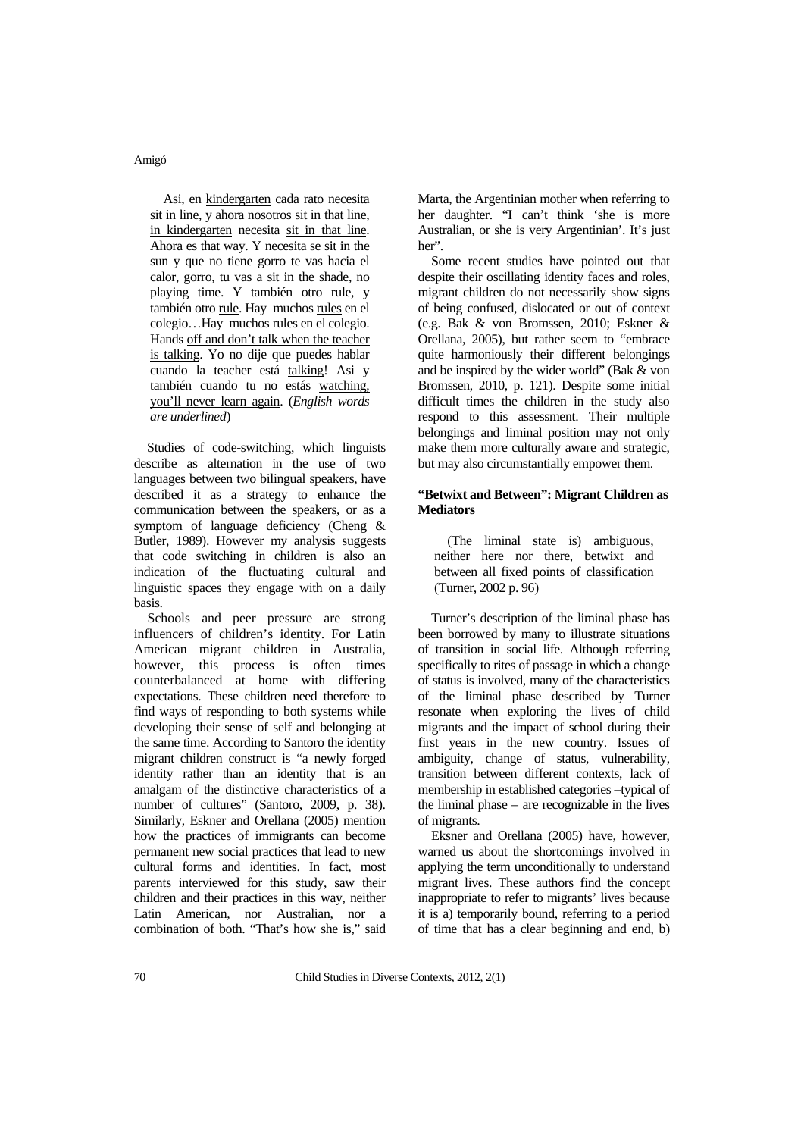Asi, en kindergarten cada rato necesita sit in line, y ahora nosotros sit in that line, in kindergarten necesita sit in that line. Ahora es that way. Y necesita se sit in the sun y que no tiene gorro te vas hacia el calor, gorro, tu vas a sit in the shade, no playing time. Y también otro rule, y también otro rule. Hay muchos rules en el colegio…Hay muchos rules en el colegio. Hands off and don't talk when the teacher is talking. Yo no dije que puedes hablar cuando la teacher está talking! Asi y también cuando tu no estás watching, you'll never learn again. (*English words are underlined*)

Studies of code-switching, which linguists describe as alternation in the use of two languages between two bilingual speakers, have described it as a strategy to enhance the communication between the speakers, or as a symptom of language deficiency (Cheng  $\&$ Butler, 1989). However my analysis suggests that code switching in children is also an indication of the fluctuating cultural and linguistic spaces they engage with on a daily basis.

Schools and peer pressure are strong influencers of children's identity. For Latin American migrant children in Australia, however, this process is often times counterbalanced at home with differing expectations. These children need therefore to find ways of responding to both systems while developing their sense of self and belonging at the same time. According to Santoro the identity migrant children construct is "a newly forged identity rather than an identity that is an amalgam of the distinctive characteristics of a number of cultures" (Santoro, 2009, p. 38). Similarly, Eskner and Orellana (2005) mention how the practices of immigrants can become permanent new social practices that lead to new cultural forms and identities. In fact, most parents interviewed for this study, saw their children and their practices in this way, neither Latin American, nor Australian, nor a combination of both. "That's how she is," said

Marta, the Argentinian mother when referring to her daughter. "I can't think 'she is more Australian, or she is very Argentinian'. It's just her".

Some recent studies have pointed out that despite their oscillating identity faces and roles, migrant children do not necessarily show signs of being confused, dislocated or out of context (e.g. Bak & von Bromssen, 2010; Eskner & Orellana, 2005), but rather seem to "embrace quite harmoniously their different belongings and be inspired by the wider world" (Bak & von Bromssen, 2010, p. 121). Despite some initial difficult times the children in the study also respond to this assessment. Their multiple belongings and liminal position may not only make them more culturally aware and strategic, but may also circumstantially empower them.

## **"Betwixt and Between": Migrant Children as Mediators**

(The liminal state is) ambiguous, neither here nor there, betwixt and between all fixed points of classification (Turner, 2002 p. 96)

Turner's description of the liminal phase has been borrowed by many to illustrate situations of transition in social life. Although referring specifically to rites of passage in which a change of status is involved, many of the characteristics of the liminal phase described by Turner resonate when exploring the lives of child migrants and the impact of school during their first years in the new country. Issues of ambiguity, change of status, vulnerability, transition between different contexts, lack of membership in established categories –typical of the liminal phase – are recognizable in the lives of migrants.

Eksner and Orellana (2005) have, however, warned us about the shortcomings involved in applying the term unconditionally to understand migrant lives. These authors find the concept inappropriate to refer to migrants' lives because it is a) temporarily bound, referring to a period of time that has a clear beginning and end, b)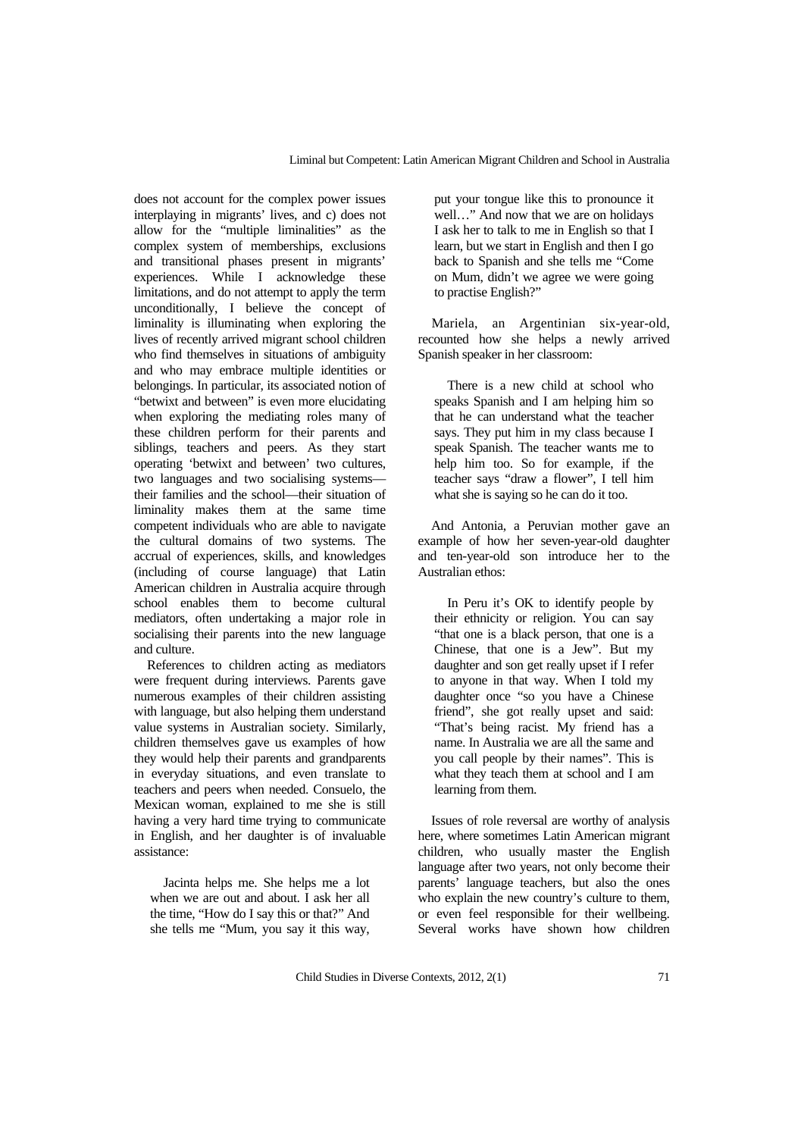does not account for the complex power issues interplaying in migrants' lives, and c) does not allow for the "multiple liminalities" as the complex system of memberships, exclusions and transitional phases present in migrants' experiences. While I acknowledge these limitations, and do not attempt to apply the term unconditionally, I believe the concept of liminality is illuminating when exploring the lives of recently arrived migrant school children who find themselves in situations of ambiguity and who may embrace multiple identities or belongings. In particular, its associated notion of "betwixt and between" is even more elucidating when exploring the mediating roles many of these children perform for their parents and siblings, teachers and peers. As they start operating 'betwixt and between' two cultures, two languages and two socialising systems their families and the school—their situation of liminality makes them at the same time competent individuals who are able to navigate the cultural domains of two systems. The accrual of experiences, skills, and knowledges (including of course language) that Latin American children in Australia acquire through school enables them to become cultural mediators, often undertaking a major role in socialising their parents into the new language and culture.

References to children acting as mediators were frequent during interviews. Parents gave numerous examples of their children assisting with language, but also helping them understand value systems in Australian society. Similarly, children themselves gave us examples of how they would help their parents and grandparents in everyday situations, and even translate to teachers and peers when needed. Consuelo, the Mexican woman, explained to me she is still having a very hard time trying to communicate in English, and her daughter is of invaluable assistance:

Jacinta helps me. She helps me a lot when we are out and about. I ask her all the time, "How do I say this or that?" And she tells me "Mum, you say it this way,

put your tongue like this to pronounce it well…" And now that we are on holidays I ask her to talk to me in English so that I learn, but we start in English and then I go back to Spanish and she tells me "Come on Mum, didn't we agree we were going to practise English?"

Mariela, an Argentinian six-year-old, recounted how she helps a newly arrived Spanish speaker in her classroom:

There is a new child at school who speaks Spanish and I am helping him so that he can understand what the teacher says. They put him in my class because I speak Spanish. The teacher wants me to help him too. So for example, if the teacher says "draw a flower", I tell him what she is saying so he can do it too.

And Antonia, a Peruvian mother gave an example of how her seven-year-old daughter and ten-year-old son introduce her to the Australian ethos:

In Peru it's OK to identify people by their ethnicity or religion. You can say "that one is a black person, that one is a Chinese, that one is a Jew". But my daughter and son get really upset if I refer to anyone in that way. When I told my daughter once "so you have a Chinese friend", she got really upset and said: "That's being racist. My friend has a name. In Australia we are all the same and you call people by their names". This is what they teach them at school and I am learning from them.

Issues of role reversal are worthy of analysis here, where sometimes Latin American migrant children, who usually master the English language after two years, not only become their parents' language teachers, but also the ones who explain the new country's culture to them. or even feel responsible for their wellbeing. Several works have shown how children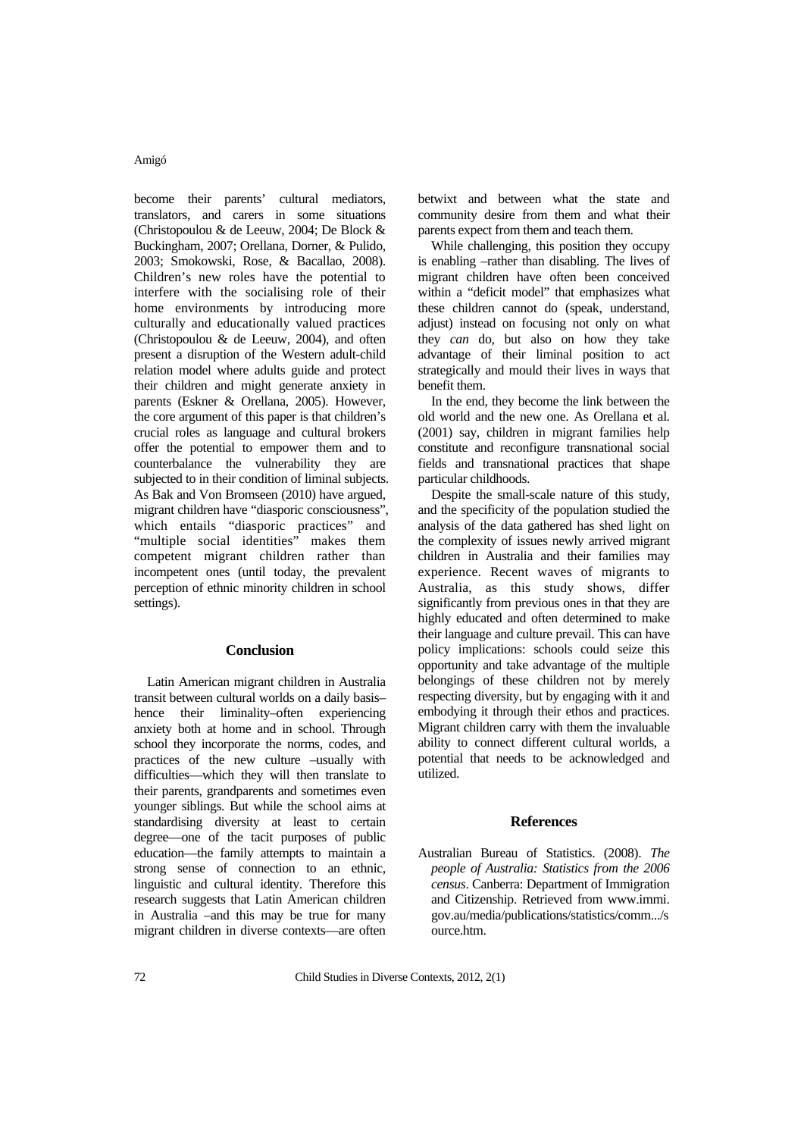become their parents' cultural mediators, translators, and carers in some situations (Christopoulou & de Leeuw, 2004; De Block & Buckingham, 2007; Orellana, Dorner, & Pulido, 2003; Smokowski, Rose, & Bacallao, 2008). Children's new roles have the potential to interfere with the socialising role of their home environments by introducing more culturally and educationally valued practices (Christopoulou & de Leeuw, 2004), and often present a disruption of the Western adult-child relation model where adults guide and protect their children and might generate anxiety in parents (Eskner & Orellana, 2005). However, the core argument of this paper is that children's crucial roles as language and cultural brokers offer the potential to empower them and to counterbalance the vulnerability they are subjected to in their condition of liminal subjects. As Bak and Von Bromseen (2010) have argued, migrant children have "diasporic consciousness", which entails "diasporic practices" and "multiple social identities" makes them competent migrant children rather than incompetent ones (until today, the prevalent perception of ethnic minority children in school settings).

# **Conclusion**

Latin American migrant children in Australia transit between cultural worlds on a daily basis– hence their liminality–often experiencing anxiety both at home and in school. Through school they incorporate the norms, codes, and practices of the new culture –usually with difficulties—which they will then translate to their parents, grandparents and sometimes even younger siblings. But while the school aims at standardising diversity at least to certain degree—one of the tacit purposes of public education—the family attempts to maintain a strong sense of connection to an ethnic, linguistic and cultural identity. Therefore this research suggests that Latin American children in Australia –and this may be true for many migrant children in diverse contexts—are often betwixt and between what the state and community desire from them and what their parents expect from them and teach them.

While challenging, this position they occupy is enabling –rather than disabling. The lives of migrant children have often been conceived within a "deficit model" that emphasizes what these children cannot do (speak, understand, adjust) instead on focusing not only on what they *can* do, but also on how they take advantage of their liminal position to act strategically and mould their lives in ways that benefit them.

In the end, they become the link between the old world and the new one. As Orellana et al. (2001) say, children in migrant families help constitute and reconfigure transnational social fields and transnational practices that shape particular childhoods.

Despite the small-scale nature of this study, and the specificity of the population studied the analysis of the data gathered has shed light on the complexity of issues newly arrived migrant children in Australia and their families may experience. Recent waves of migrants to Australia, as this study shows, differ significantly from previous ones in that they are highly educated and often determined to make their language and culture prevail. This can have policy implications: schools could seize this opportunity and take advantage of the multiple belongings of these children not by merely respecting diversity, but by engaging with it and embodying it through their ethos and practices. Migrant children carry with them the invaluable ability to connect different cultural worlds, a potential that needs to be acknowledged and utilized.

#### **References**

Australian Bureau of Statistics. (2008). *The people of Australia: Statistics from the 2006 census*. Canberra: Department of Immigration and Citizenship. Retrieved from www.immi. gov.au/media/publications/statistics/comm.../s ource.htm.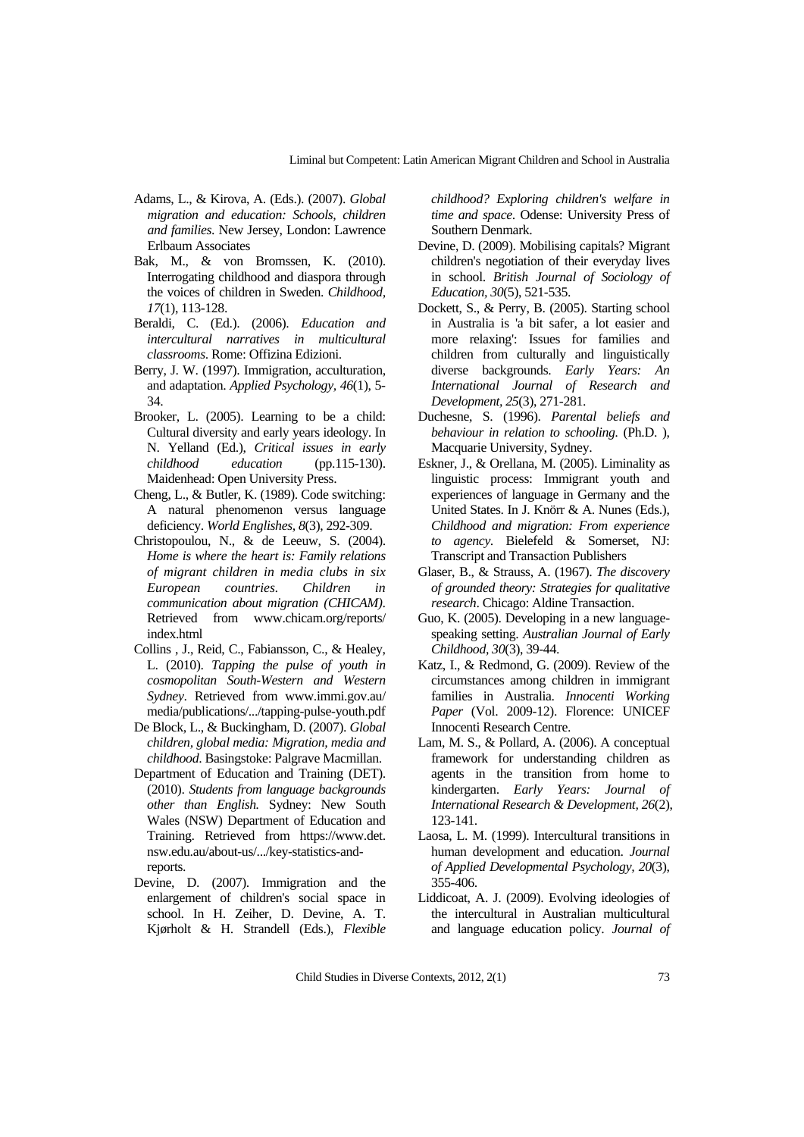- Adams, L., & Kirova, A. (Eds.). (2007). *Global migration and education: Schools, children and families*. New Jersey, London: Lawrence Erlbaum Associates
- Bak, M., & von Bromssen, K. (2010). Interrogating childhood and diaspora through the voices of children in Sweden. *Childhood, 17*(1), 113-128.
- Beraldi, C. (Ed.). (2006). *Education and intercultural narratives in multicultural classrooms*. Rome: Offizina Edizioni.
- Berry, J. W. (1997). Immigration, acculturation, and adaptation. *Applied Psychology, 46*(1), 5- 34.
- Brooker, L. (2005). Learning to be a child: Cultural diversity and early years ideology. In N. Yelland (Ed.), *Critical issues in early childhood education* (pp.115-130). Maidenhead: Open University Press.
- Cheng, L., & Butler, K. (1989). Code switching: A natural phenomenon versus language deficiency. *World Englishes, 8*(3), 292-309.
- Christopoulou, N., & de Leeuw, S. (2004). *Home is where the heart is: Family relations of migrant children in media clubs in six European countries. Children in communication about migration (CHICAM)*. Retrieved from www.chicam.org/reports/ index.html
- Collins , J., Reid, C., Fabiansson, C., & Healey, L. (2010). *Tapping the pulse of youth in cosmopolitan South-Western and Western Sydney*. Retrieved from www.immi.gov.au/ media/publications/.../tapping-pulse-youth.pdf
- De Block, L., & Buckingham, D. (2007). *Global children, global media: Migration, media and childhood*. Basingstoke: Palgrave Macmillan.
- Department of Education and Training (DET). (2010). *Students from language backgrounds other than English.* Sydney: New South Wales (NSW) Department of Education and Training. Retrieved from https://www.det. nsw.edu.au/about-us/.../key-statistics-andreports.
- Devine, D. (2007). Immigration and the enlargement of children's social space in school. In H. Zeiher, D. Devine, A. T. Kjørholt & H. Strandell (Eds.), *Flexible*

*childhood? Exploring children's welfare in time and space*. Odense: University Press of Southern Denmark.

- Devine, D. (2009). Mobilising capitals? Migrant children's negotiation of their everyday lives in school. *British Journal of Sociology of Education, 30*(5), 521-535.
- Dockett, S., & Perry, B. (2005). Starting school in Australia is 'a bit safer, a lot easier and more relaxing': Issues for families and children from culturally and linguistically diverse backgrounds. *Early Years: An International Journal of Research and Development, 25*(3), 271-281.
- Duchesne, S. (1996). *Parental beliefs and behaviour in relation to schooling.* (Ph.D. ), Macquarie University, Sydney.
- Eskner, J., & Orellana, M. (2005). Liminality as linguistic process: Immigrant youth and experiences of language in Germany and the United States. In J. Knörr & A. Nunes (Eds.), *Childhood and migration: From experience to agency*. Bielefeld & Somerset, NJ: Transcript and Transaction Publishers
- Glaser, B., & Strauss, A. (1967). *The discovery of grounded theory: Strategies for qualitative research*. Chicago: Aldine Transaction.
- Guo, K. (2005). Developing in a new languagespeaking setting. *Australian Journal of Early Childhood, 30*(3), 39-44.
- Katz, I., & Redmond, G. (2009). Review of the circumstances among children in immigrant families in Australia. *Innocenti Working Paper* (Vol. 2009-12). Florence: UNICEF Innocenti Research Centre.
- Lam, M. S., & Pollard, A. (2006). A conceptual framework for understanding children as agents in the transition from home to kindergarten. *Early Years: Journal of International Research & Development, 26*(2), 123-141.
- Laosa, L. M. (1999). Intercultural transitions in human development and education. *Journal of Applied Developmental Psychology, 20*(3), 355-406.
- Liddicoat, A. J. (2009). Evolving ideologies of the intercultural in Australian multicultural and language education policy. *Journal of*

Child Studies in Diverse Contexts, 2012, 2(1) 73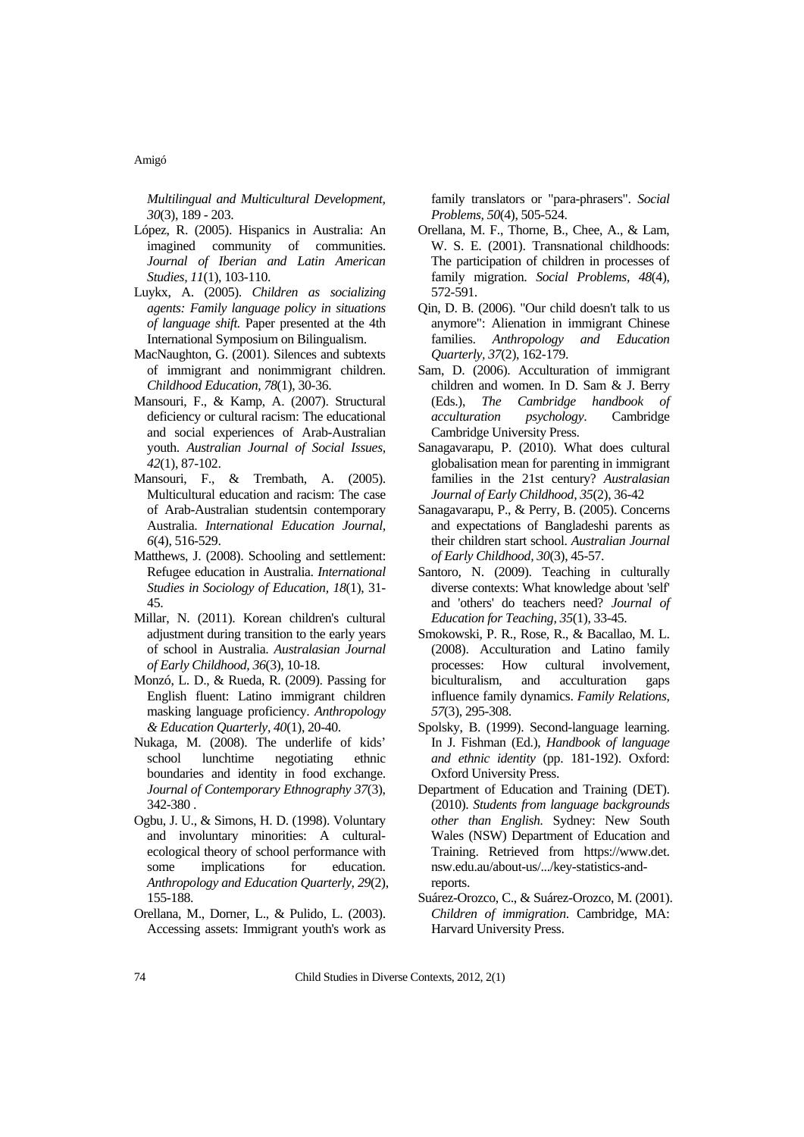*Multilingual and Multicultural Development, 30*(3), 189 - 203.

- López, R. (2005). Hispanics in Australia: An imagined community of communities. *Journal of Iberian and Latin American Studies, 11*(1), 103-110.
- Luykx, A. (2005). *Children as socializing agents: Family language policy in situations of language shift.* Paper presented at the 4th International Symposium on Bilingualism.
- MacNaughton, G. (2001). Silences and subtexts of immigrant and nonimmigrant children. *Childhood Education, 78*(1), 30-36.
- Mansouri, F., & Kamp, A. (2007). Structural deficiency or cultural racism: The educational and social experiences of Arab-Australian youth. *Australian Journal of Social Issues, 42*(1), 87-102.
- Mansouri, F., & Trembath, A. (2005). Multicultural education and racism: The case of Arab-Australian studentsin contemporary Australia. *International Education Journal, 6*(4), 516-529.
- Matthews, J. (2008). Schooling and settlement: Refugee education in Australia. *International Studies in Sociology of Education, 18*(1), 31- 45.
- Millar, N. (2011). Korean children's cultural adjustment during transition to the early years of school in Australia. *Australasian Journal of Early Childhood, 36*(3), 10-18.
- Monzó, L. D., & Rueda, R. (2009). Passing for English fluent: Latino immigrant children masking language proficiency. *Anthropology & Education Quarterly, 40*(1), 20-40.
- Nukaga, M. (2008). The underlife of kids' school lunchtime negotiating ethnic boundaries and identity in food exchange. *Journal of Contemporary Ethnography 37*(3), 342-380 .
- Ogbu, J. U., & Simons, H. D. (1998). Voluntary and involuntary minorities: A culturalecological theory of school performance with some implications for education. *Anthropology and Education Quarterly, 29*(2), 155-188.
- Orellana, M., Dorner, L., & Pulido, L. (2003). Accessing assets: Immigrant youth's work as

family translators or "para-phrasers". *Social Problems, 50*(4), 505-524.

- Orellana, M. F., Thorne, B., Chee, A., & Lam, W. S. E. (2001). Transnational childhoods: The participation of children in processes of family migration. *Social Problems, 48*(4), 572-591.
- Qin, D. B. (2006). "Our child doesn't talk to us anymore": Alienation in immigrant Chinese families. *Anthropology and Education Quarterly, 37*(2), 162-179.
- Sam, D. (2006). Acculturation of immigrant children and women. In D. Sam & J. Berry (Eds.), *The Cambridge handbook of acculturation psychology*. Cambridge Cambridge University Press.
- Sanagavarapu, P. (2010). What does cultural globalisation mean for parenting in immigrant families in the 21st century? *Australasian Journal of Early Childhood, 35*(2), 36-42
- Sanagavarapu, P., & Perry, B. (2005). Concerns and expectations of Bangladeshi parents as their children start school. *Australian Journal of Early Childhood, 30*(3), 45-57.
- Santoro, N. (2009). Teaching in culturally diverse contexts: What knowledge about 'self' and 'others' do teachers need? *Journal of Education for Teaching, 35*(1), 33-45.
- Smokowski, P. R., Rose, R., & Bacallao, M. L. (2008). Acculturation and Latino family processes: How cultural involvement, biculturalism, and acculturation gaps influence family dynamics. *Family Relations, 57*(3), 295-308.
- Spolsky, B. (1999). Second-language learning. In J. Fishman (Ed.), *Handbook of language and ethnic identity* (pp. 181-192). Oxford: Oxford University Press.
- Department of Education and Training (DET). (2010). *Students from language backgrounds other than English.* Sydney: New South Wales (NSW) Department of Education and Training. Retrieved from https://www.det. nsw.edu.au/about-us/.../key-statistics-andreports.
- Suárez-Orozco, C., & Suárez-Orozco, M. (2001). *Children of immigration*. Cambridge, MA: Harvard University Press.